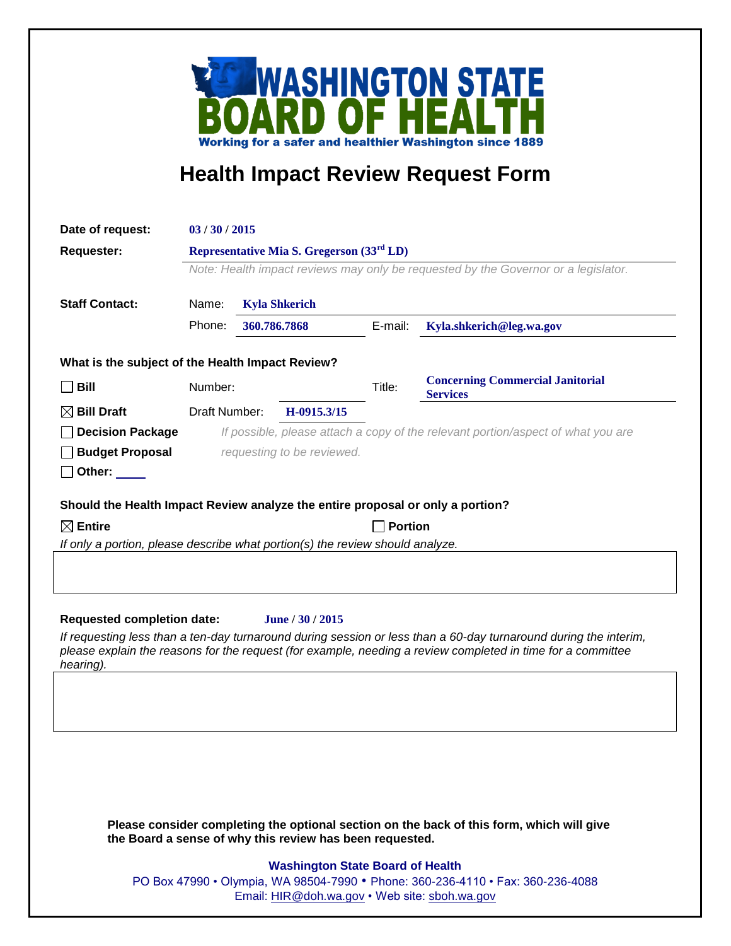

## **Health Impact Review Request Form**

| Date of request:                                                               | 03/30/2015                                                                                                                                  |  |                  |                |                                                            |
|--------------------------------------------------------------------------------|---------------------------------------------------------------------------------------------------------------------------------------------|--|------------------|----------------|------------------------------------------------------------|
| <b>Requester:</b><br><b>Staff Contact:</b>                                     | Representative Mia S. Gregerson (33 <sup>rd</sup> LD)<br>Note: Health impact reviews may only be requested by the Governor or a legislator. |  |                  |                |                                                            |
|                                                                                |                                                                                                                                             |  |                  |                |                                                            |
|                                                                                | Phone:<br>360.786.7868                                                                                                                      |  |                  | E-mail:        | Kyla.shkerich@leg.wa.gov                                   |
|                                                                                | What is the subject of the Health Impact Review?                                                                                            |  |                  |                |                                                            |
| $\Box$ Bill                                                                    | Number:                                                                                                                                     |  |                  | Title:         | <b>Concerning Commercial Janitorial</b><br><b>Services</b> |
| $\boxtimes$ Bill Draft                                                         | Draft Number:                                                                                                                               |  | H-0915.3/15      |                |                                                            |
| □ Decision Package                                                             | If possible, please attach a copy of the relevant portion/aspect of what you are                                                            |  |                  |                |                                                            |
| <b>Budget Proposal</b>                                                         | requesting to be reviewed.                                                                                                                  |  |                  |                |                                                            |
| $\Box$ Other: $\Box$                                                           |                                                                                                                                             |  |                  |                |                                                            |
| Should the Health Impact Review analyze the entire proposal or only a portion? |                                                                                                                                             |  |                  |                |                                                            |
| $\boxtimes$ Entire                                                             |                                                                                                                                             |  |                  | <b>Portion</b> |                                                            |
| If only a portion, please describe what portion(s) the review should analyze.  |                                                                                                                                             |  |                  |                |                                                            |
|                                                                                |                                                                                                                                             |  |                  |                |                                                            |
| <b>Requested completion date:</b>                                              |                                                                                                                                             |  | June / 30 / 2015 |                |                                                            |

*If requesting less than a ten-day turnaround during session or less than a 60-day turnaround during the interim, please explain the reasons for the request (for example, needing a review completed in time for a committee hearing).*

**Please consider completing the optional section on the back of this form, which will give the Board a sense of why this review has been requested.**

## **Washington State Board of Health**

PO Box 47990 • Olympia, WA 98504-7990 • Phone: 360-236-4110 • Fax: 360-236-4088 Email: [HIR@doh.wa.gov](mailto:HIR@doh.wa.gov) • Web site: [sboh.wa.gov](http://www.sboh.wa.gov/hdcouncil/)